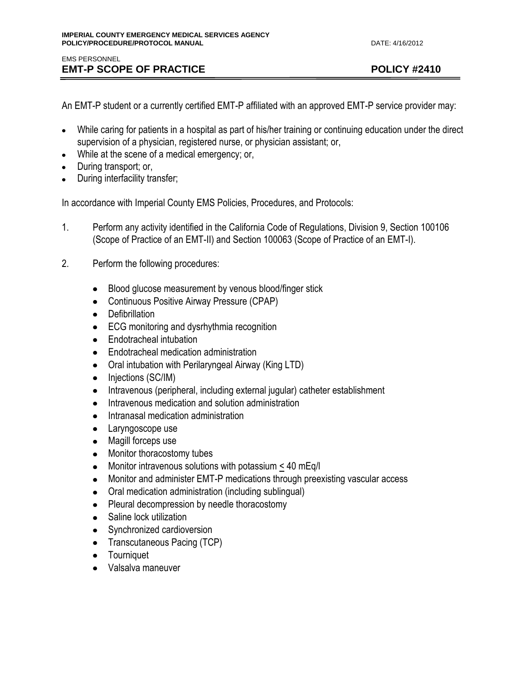An EMT-P student or a currently certified EMT-P affiliated with an approved EMT-P service provider may:

- While caring for patients in a hospital as part of his/her training or continuing education under the direct supervision of a physician, registered nurse, or physician assistant; or,
- While at the scene of a medical emergency; or,
- During transport; or,
- During interfacility transfer;

In accordance with Imperial County EMS Policies, Procedures, and Protocols:

- 1. Perform any activity identified in the California Code of Regulations, Division 9, Section 100106 (Scope of Practice of an EMT-II) and Section 100063 (Scope of Practice of an EMT-I).
- 2. Perform the following procedures:
	- Blood glucose measurement by venous blood/finger stick  $\bullet$
	- Continuous Positive Airway Pressure (CPAP)
	- Defibrillation
	- **ECG** monitoring and dysrhythmia recognition
	- Endotracheal intubation
	- **•** Endotracheal medication administration
	- Oral intubation with Perilaryngeal Airway (King LTD)
	- Injections (SC/IM)
	- Intravenous (peripheral, including external jugular) catheter establishment
	- Intravenous medication and solution administration
	- Intranasal medication administration  $\bullet$
	- Laryngoscope use
	- Magill forceps use
	- Monitor thoracostomy tubes
	- Monitor intravenous solutions with potassium < 40 mEq/l
	- Monitor and administer EMT-P medications through preexisting vascular access
	- Oral medication administration (including sublingual)
	- Pleural decompression by needle thoracostomy
	- Saline lock utilization
	- Synchronized cardioversion
	- Transcutaneous Pacing (TCP)
	- Tourniquet
	- Valsalva maneuver